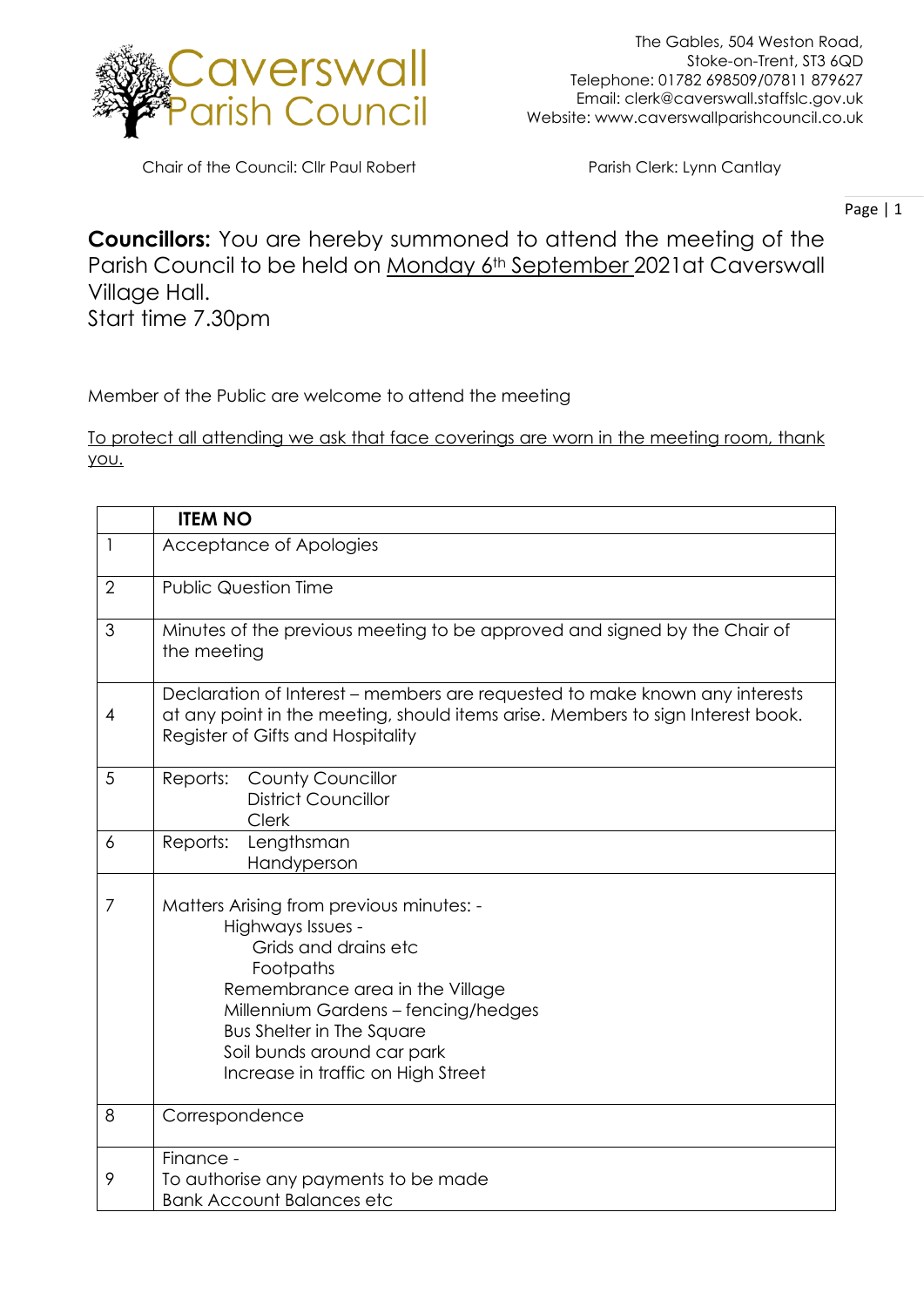

Chair of the Council: Cllr Paul Robert Parish Clerk: Lynn Cantlay

Page | 1

**Councillors:** You are hereby summoned to attend the meeting of the Parish Council to be held on Monday 6th September 2021at Caverswall Village Hall. Start time 7.30pm

Member of the Public are welcome to attend the meeting

To protect all attending we ask that face coverings are worn in the meeting room, thank you.

|                | <b>ITEM NO</b>                                                                                                                                                                                                                                                                       |
|----------------|--------------------------------------------------------------------------------------------------------------------------------------------------------------------------------------------------------------------------------------------------------------------------------------|
| 1              | Acceptance of Apologies                                                                                                                                                                                                                                                              |
| $\overline{2}$ | <b>Public Question Time</b>                                                                                                                                                                                                                                                          |
| 3              | Minutes of the previous meeting to be approved and signed by the Chair of<br>the meeting                                                                                                                                                                                             |
| 4              | Declaration of Interest – members are requested to make known any interests<br>at any point in the meeting, should items arise. Members to sign Interest book.<br>Register of Gifts and Hospitality                                                                                  |
| 5              | <b>County Councillor</b><br>Reports:<br><b>District Councillor</b><br><b>Clerk</b>                                                                                                                                                                                                   |
| 6              | Lengthsman<br>Reports:<br>Handyperson                                                                                                                                                                                                                                                |
| 7              | Matters Arising from previous minutes: -<br>Highways Issues -<br>Grids and drains etc<br>Footpaths<br>Remembrance area in the Village<br>Millennium Gardens - fencing/hedges<br><b>Bus Shelter in The Square</b><br>Soil bunds around car park<br>Increase in traffic on High Street |
| 8              | Correspondence                                                                                                                                                                                                                                                                       |
| 9              | Finance -<br>To authorise any payments to be made<br><b>Bank Account Balances etc</b>                                                                                                                                                                                                |